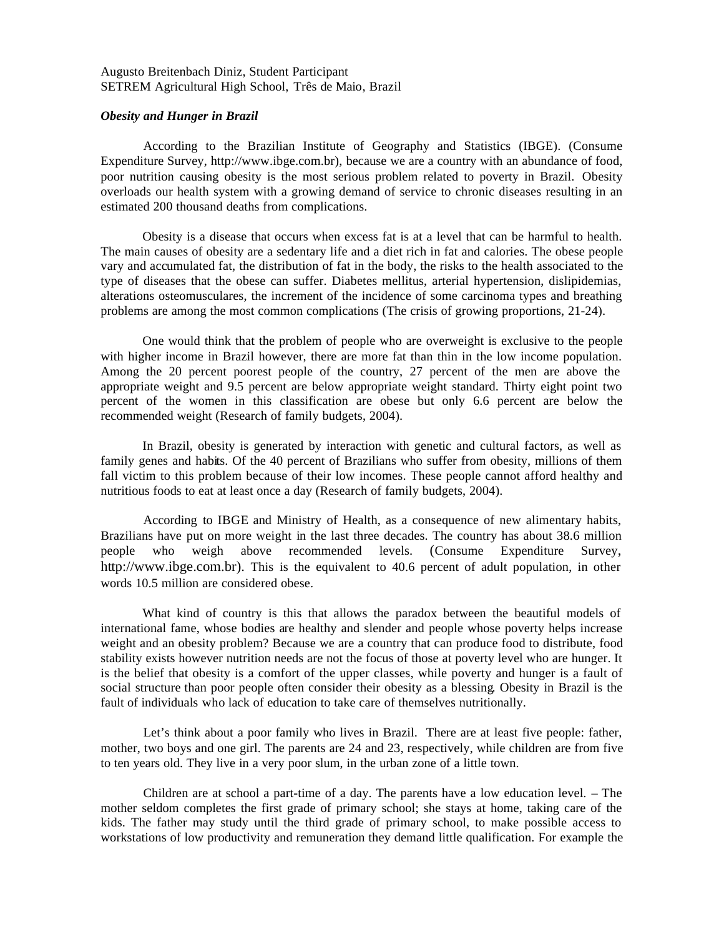Augusto Breitenbach Diniz, Student Participant SETREM Agricultural High School, Três de Maio, Brazil

## *Obesity and Hunger in Brazil*

According to the Brazilian Institute of Geography and Statistics (IBGE). (Consume Expenditure Survey, http://www.ibge.com.br), because we are a country with an abundance of food, poor nutrition causing obesity is the most serious problem related to poverty in Brazil. Obesity overloads our health system with a growing demand of service to chronic diseases resulting in an estimated 200 thousand deaths from complications.

 Obesity is a disease that occurs when excess fat is at a level that can be harmful to health. The main causes of obesity are a sedentary life and a diet rich in fat and calories. The obese people vary and accumulated fat, the distribution of fat in the body, the risks to the health associated to the type of diseases that the obese can suffer. Diabetes mellitus, arterial hypertension, dislipidemias, alterations osteomusculares, the increment of the incidence of some carcinoma types and breathing problems are among the most common complications (The crisis of growing proportions, 21-24).

 One would think that the problem of people who are overweight is exclusive to the people with higher income in Brazil however, there are more fat than thin in the low income population. Among the 20 percent poorest people of the country, 27 percent of the men are above the appropriate weight and 9.5 percent are below appropriate weight standard. Thirty eight point two percent of the women in this classification are obese but only 6.6 percent are below the recommended weight (Research of family budgets, 2004).

 In Brazil, obesity is generated by interaction with genetic and cultural factors, as well as family genes and habits. Of the 40 percent of Brazilians who suffer from obesity, millions of them fall victim to this problem because of their low incomes. These people cannot afford healthy and nutritious foods to eat at least once a day (Research of family budgets, 2004).

According to IBGE and Ministry of Health, as a consequence of new alimentary habits, Brazilians have put on more weight in the last three decades. The country has about 38.6 million people who weigh above recommended levels. (Consume Expenditure Survey, http://www.ibge.com.br). This is the equivalent to 40.6 percent of adult population, in other words 10.5 million are considered obese.

What kind of country is this that allows the paradox between the beautiful models of international fame, whose bodies are healthy and slender and people whose poverty helps increase weight and an obesity problem? Because we are a country that can produce food to distribute, food stability exists however nutrition needs are not the focus of those at poverty level who are hunger. It is the belief that obesity is a comfort of the upper classes, while poverty and hunger is a fault of social structure than poor people often consider their obesity as a blessing. Obesity in Brazil is the fault of individuals who lack of education to take care of themselves nutritionally.

Let's think about a poor family who lives in Brazil. There are at least five people: father, mother, two boys and one girl. The parents are 24 and 23, respectively, while children are from five to ten years old. They live in a very poor slum, in the urban zone of a little town.

Children are at school a part-time of a day. The parents have a low education level. – The mother seldom completes the first grade of primary school; she stays at home, taking care of the kids. The father may study until the third grade of primary school, to make possible access to workstations of low productivity and remuneration they demand little qualification. For example the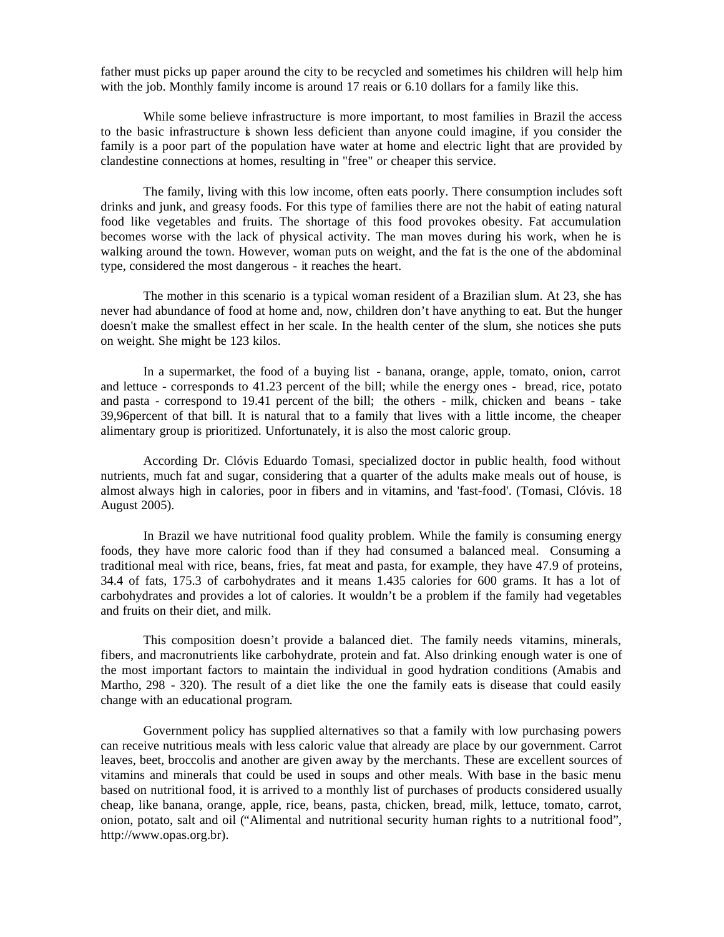father must picks up paper around the city to be recycled and sometimes his children will help him with the job. Monthly family income is around 17 reais or 6.10 dollars for a family like this.

While some believe infrastructure is more important, to most families in Brazil the access to the basic infrastructure is shown less deficient than anyone could imagine, if you consider the family is a poor part of the population have water at home and electric light that are provided by clandestine connections at homes, resulting in "free" or cheaper this service.

The family, living with this low income, often eats poorly. There consumption includes soft drinks and junk, and greasy foods. For this type of families there are not the habit of eating natural food like vegetables and fruits. The shortage of this food provokes obesity. Fat accumulation becomes worse with the lack of physical activity. The man moves during his work, when he is walking around the town. However, woman puts on weight, and the fat is the one of the abdominal type, considered the most dangerous - it reaches the heart.

The mother in this scenario is a typical woman resident of a Brazilian slum. At 23, she has never had abundance of food at home and, now, children don't have anything to eat. But the hunger doesn't make the smallest effect in her scale. In the health center of the slum, she notices she puts on weight. She might be 123 kilos.

In a supermarket, the food of a buying list - banana, orange, apple, tomato, onion, carrot and lettuce - corresponds to 41.23 percent of the bill; while the energy ones - bread, rice, potato and pasta - correspond to 19.41 percent of the bill; the others - milk, chicken and beans - take 39,96percent of that bill. It is natural that to a family that lives with a little income, the cheaper alimentary group is prioritized. Unfortunately, it is also the most caloric group.

According Dr. Clóvis Eduardo Tomasi, specialized doctor in public health, food without nutrients, much fat and sugar, considering that a quarter of the adults make meals out of house, is almost always high in calories, poor in fibers and in vitamins, and 'fast-food'. (Tomasi, Clóvis. 18 August 2005).

In Brazil we have nutritional food quality problem. While the family is consuming energy foods, they have more caloric food than if they had consumed a balanced meal. Consuming a traditional meal with rice, beans, fries, fat meat and pasta, for example, they have 47.9 of proteins, 34.4 of fats, 175.3 of carbohydrates and it means 1.435 calories for 600 grams. It has a lot of carbohydrates and provides a lot of calories. It wouldn't be a problem if the family had vegetables and fruits on their diet, and milk.

This composition doesn't provide a balanced diet. The family needs vitamins, minerals, fibers, and macronutrients like carbohydrate, protein and fat. Also drinking enough water is one of the most important factors to maintain the individual in good hydration conditions (Amabis and Martho, 298 - 320). The result of a diet like the one the family eats is disease that could easily change with an educational program.

Government policy has supplied alternatives so that a family with low purchasing powers can receive nutritious meals with less caloric value that already are place by our government. Carrot leaves, beet, broccolis and another are given away by the merchants. These are excellent sources of vitamins and minerals that could be used in soups and other meals. With base in the basic menu based on nutritional food, it is arrived to a monthly list of purchases of products considered usually cheap, like banana, orange, apple, rice, beans, pasta, chicken, bread, milk, lettuce, tomato, carrot, onion, potato, salt and oil ("Alimental and nutritional security human rights to a nutritional food", http://www.opas.org.br).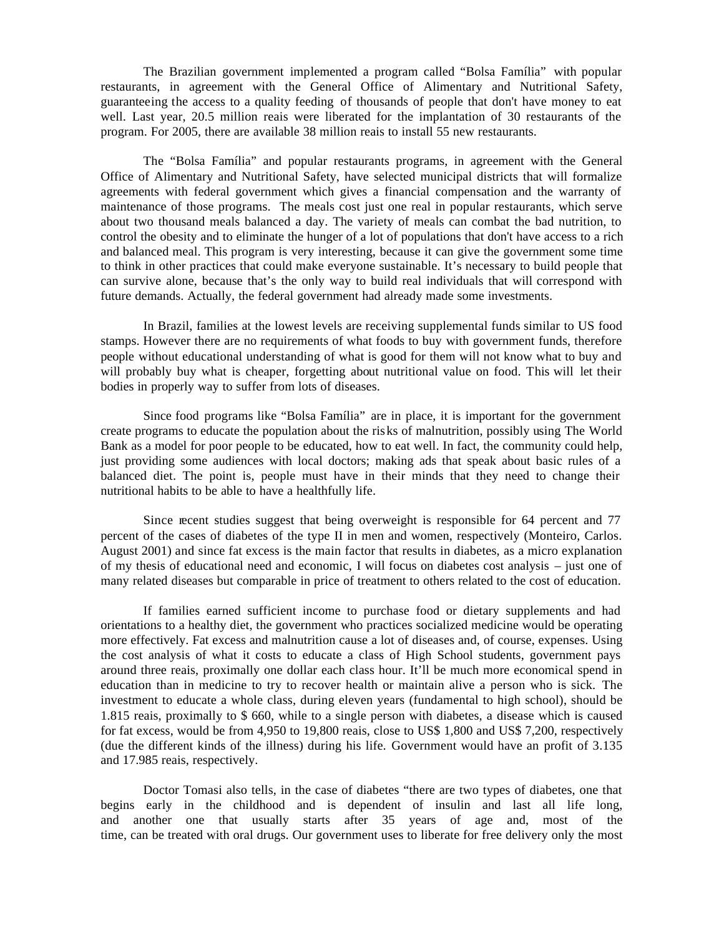The Brazilian government implemented a program called "Bolsa Família" with popular restaurants, in agreement with the General Office of Alimentary and Nutritional Safety, guaranteeing the access to a quality feeding of thousands of people that don't have money to eat well. Last year, 20.5 million reais were liberated for the implantation of 30 restaurants of the program. For 2005, there are available 38 million reais to install 55 new restaurants.

The "Bolsa Família" and popular restaurants programs, in agreement with the General Office of Alimentary and Nutritional Safety, have selected municipal districts that will formalize agreements with federal government which gives a financial compensation and the warranty of maintenance of those programs. The meals cost just one real in popular restaurants, which serve about two thousand meals balanced a day. The variety of meals can combat the bad nutrition, to control the obesity and to eliminate the hunger of a lot of populations that don't have access to a rich and balanced meal. This program is very interesting, because it can give the government some time to think in other practices that could make everyone sustainable. It's necessary to build people that can survive alone, because that's the only way to build real individuals that will correspond with future demands. Actually, the federal government had already made some investments.

In Brazil, families at the lowest levels are receiving supplemental funds similar to US food stamps. However there are no requirements of what foods to buy with government funds, therefore people without educational understanding of what is good for them will not know what to buy and will probably buy what is cheaper, forgetting about nutritional value on food. This will let their bodies in properly way to suffer from lots of diseases.

Since food programs like "Bolsa Família" are in place, it is important for the government create programs to educate the population about the risks of malnutrition, possibly using The World Bank as a model for poor people to be educated, how to eat well. In fact, the community could help, just providing some audiences with local doctors; making ads that speak about basic rules of a balanced diet. The point is, people must have in their minds that they need to change their nutritional habits to be able to have a healthfully life.

Since recent studies suggest that being overweight is responsible for 64 percent and 77 percent of the cases of diabetes of the type II in men and women, respectively (Monteiro, Carlos. August 2001) and since fat excess is the main factor that results in diabetes, as a micro explanation of my thesis of educational need and economic, I will focus on diabetes cost analysis – just one of many related diseases but comparable in price of treatment to others related to the cost of education.

If families earned sufficient income to purchase food or dietary supplements and had orientations to a healthy diet, the government who practices socialized medicine would be operating more effectively. Fat excess and malnutrition cause a lot of diseases and, of course, expenses. Using the cost analysis of what it costs to educate a class of High School students, government pays around three reais, proximally one dollar each class hour. It'll be much more economical spend in education than in medicine to try to recover health or maintain alive a person who is sick. The investment to educate a whole class, during eleven years (fundamental to high school), should be 1.815 reais, proximally to \$ 660, while to a single person with diabetes, a disease which is caused for fat excess, would be from 4,950 to 19,800 reais, close to US\$ 1,800 and US\$ 7,200, respectively (due the different kinds of the illness) during his life. Government would have an profit of 3.135 and 17.985 reais, respectively.

Doctor Tomasi also tells, in the case of diabetes "there are two types of diabetes, one that begins early in the childhood and is dependent of insulin and last all life long, and another one that usually starts after 35 years of age and, most of the time, can be treated with oral drugs. Our government uses to liberate for free delivery only the most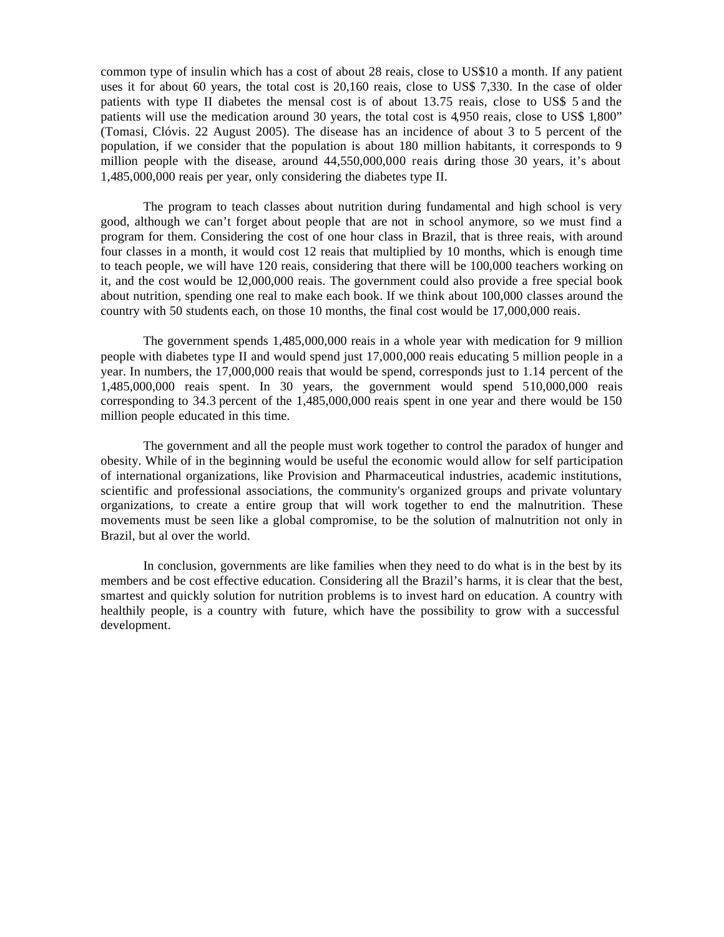common type of insulin which has a cost of about 28 reais, close to US\$10 a month. If any patient uses it for about 60 years, the total cost is 20,160 reais, close to US\$ 7,330. In the case of older patients with type II diabetes the mensal cost is of about 13.75 reais, close to US\$ 5 and the patients will use the medication around 30 years, the total cost is 4,950 reais, close to US\$ 1,800" (Tomasi, Clóvis. 22 August 2005). The disease has an incidence of about 3 to 5 percent of the population, if we consider that the population is about 180 million habitants, it corresponds to 9 million people with the disease, around 44,550,000,000 reais during those 30 years, it's about 1,485,000,000 reais per year, only considering the diabetes type II.

The program to teach classes about nutrition during fundamental and high school is very good, although we can't forget about people that are not in school anymore, so we must find a program for them. Considering the cost of one hour class in Brazil, that is three reais, with around four classes in a month, it would cost 12 reais that multiplied by 10 months, which is enough time to teach people, we will have 120 reais, considering that there will be 100,000 teachers working on it, and the cost would be 12,000,000 reais. The government could also provide a free special book about nutrition, spending one real to make each book. If we think about 100,000 classes around the country with 50 students each, on those 10 months, the final cost would be 17,000,000 reais.

The government spends 1,485,000,000 reais in a whole year with medication for 9 million people with diabetes type II and would spend just 17,000,000 reais educating 5 million people in a year. In numbers, the 17,000,000 reais that would be spend, corresponds just to 1.14 percent of the 1,485,000,000 reais spent. In 30 years, the government would spend 510,000,000 reais corresponding to 34.3 percent of the 1,485,000,000 reais spent in one year and there would be 150 million people educated in this time.

The government and all the people must work together to control the paradox of hunger and obesity. While of in the beginning would be useful the economic would allow for self participation of international organizations, like Provision and Pharmaceutical industries, academic institutions, scientific and professional associations, the community's organized groups and private voluntary organizations, to create a entire group that will work together to end the malnutrition. These movements must be seen like a global compromise, to be the solution of malnutrition not only in Brazil, but al over the world.

In conclusion, governments are like families when they need to do what is in the best by its members and be cost effective education. Considering all the Brazil's harms, it is clear that the best, smartest and quickly solution for nutrition problems is to invest hard on education. A country with healthily people, is a country with future, which have the possibility to grow with a successful development.